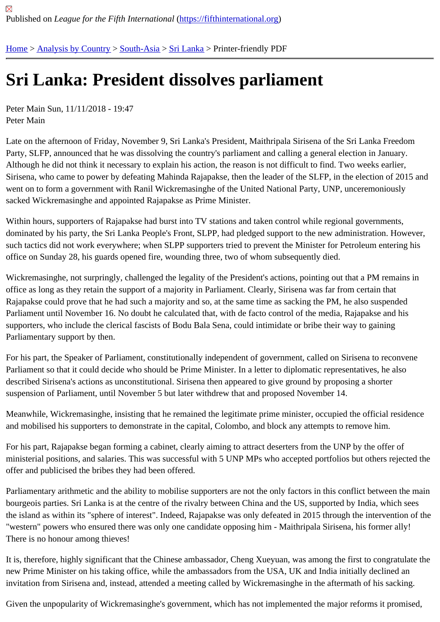## [Sri](https://fifthinternational.org/) [Lanka: Pre](https://fifthinternational.org/category/1)[siden](https://fifthinternational.org/category/1/200)t [disso](https://fifthinternational.org/category/1/200/208)lves parliament

Peter Main Sun, 11/11/2018 - 19:47 Peter Main

Late on the afternoon of Friday, November 9, Sri Lanka's President, Maithripala Sirisena of the Sri Lanka Freedom Party, SLFP, announced that he was dissolving the country's parliament and calling a general election in January. Although he did not think it necessary to explain his action, the reason is not difficult to find. Two weeks earlier, Sirisena, who came to power by defeating Mahinda Rajapakse, then the leader of the SLFP, in the election of 201 went on to form a government with Ranil Wickremasinghe of the United National Party, UNP, unceremoniously sacked Wickremasinghe and appointed Rajapakse as Prime Minister.

Within hours, supporters of Rajapakse had burst into TV stations and taken control while regional governments, dominated by his party, the Sri Lanka People's Front, SLPP, had pledged support to the new administration. Howe such tactics did not work everywhere; when SLPP supporters tried to prevent the Minister for Petroleum entering h office on Sunday 28, his guards opened fire, wounding three, two of whom subsequently died.

Wickremasinghe, not surpringly, challenged the legality of the President's actions, pointing out that a PM remains i office as long as they retain the support of a majority in Parliament. Clearly, Sirisena was far from certain that Rajapakse could prove that he had such a majority and so, at the same time as sacking the PM, he also suspende Parliament until November 16. No doubt he calculated that, with de facto control of the media, Rajapakse and his supporters, who include the clerical fascists of Bodu Bala Sena, could intimidate or bribe their way to gaining Parliamentary support by then.

For his part, the Speaker of Parliament, constitutionally independent of government, called on Sirisena to reconver Parliament so that it could decide who should be Prime Minister. In a letter to diplomatic representatives, he also described Sirisena's actions as unconstitutional. Sirisena then appeared to give ground by proposing a shorter suspension of Parliament, until November 5 but later withdrew that and proposed November 14.

Meanwhile, Wickremasinghe, insisting that he remained the legitimate prime minister, occupied the official residen and mobilised his supporters to demonstrate in the capital, Colombo, and block any attempts to remove him.

For his part, Rajapakse began forming a cabinet, clearly aiming to attract deserters from the UNP by the offer of ministerial positions, and salaries. This was successful with 5 UNP MPs who accepted portfolios but others rejecte offer and publicised the bribes they had been offered.

Parliamentary arithmetic and the ability to mobilise supporters are not the only factors in this conflict between the r bourgeois parties. Sri Lanka is at the centre of the rivalry between China and the US, supported by India, which se the island as within its "sphere of interest". Indeed, Rajapakse was only defeated in 2015 through the intervention "western" powers who ensured there was only one candidate opposing him - Maithripala Sirisena, his former ally! There is no honour among thieves!

It is, therefore, highly significant that the Chinese ambassador, Cheng Xueyuan, was among the first to congratula new Prime Minister on his taking office, while the ambassadors from the USA, UK and India initially declined an invitation from Sirisena and, instead, attended a meeting called by Wickremasinghe in the aftermath of his sacking.

Given the unpopularity of Wickremasinghe's government, which has not implemented the major reforms it promise